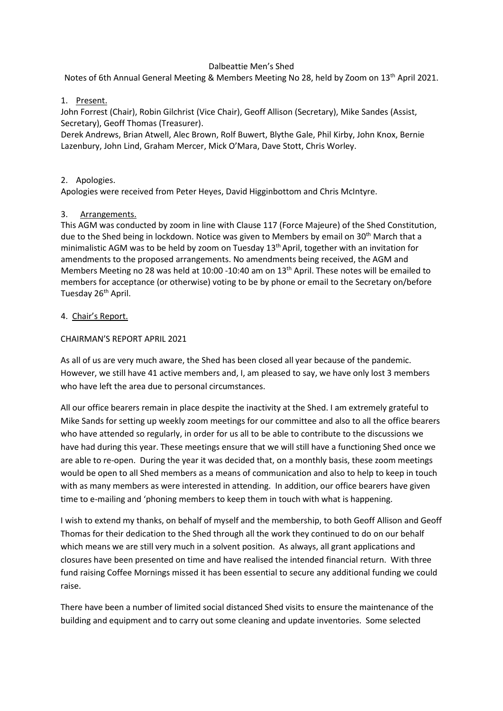# Dalbeattie Men's Shed

Notes of 6th Annual General Meeting & Members Meeting No 28, held by Zoom on 13<sup>th</sup> April 2021.

### 1. Present.

John Forrest (Chair), Robin Gilchrist (Vice Chair), Geoff Allison (Secretary), Mike Sandes (Assist, Secretary), Geoff Thomas (Treasurer).

Derek Andrews, Brian Atwell, Alec Brown, Rolf Buwert, Blythe Gale, Phil Kirby, John Knox, Bernie Lazenbury, John Lind, Graham Mercer, Mick O'Mara, Dave Stott, Chris Worley.

#### 2. Apologies.

Apologies were received from Peter Heyes, David Higginbottom and Chris McIntyre.

# 3. Arrangements.

This AGM was conducted by zoom in line with Clause 117 (Force Majeure) of the Shed Constitution, due to the Shed being in lockdown. Notice was given to Members by email on 30<sup>th</sup> March that a minimalistic AGM was to be held by zoom on Tuesday  $13<sup>th</sup>$  April, together with an invitation for amendments to the proposed arrangements. No amendments being received, the AGM and Members Meeting no 28 was held at 10:00 -10:40 am on 13<sup>th</sup> April. These notes will be emailed to members for acceptance (or otherwise) voting to be by phone or email to the Secretary on/before Tuesday 26<sup>th</sup> April.

# 4. Chair's Report.

# CHAIRMAN'S REPORT APRIL 2021

As all of us are very much aware, the Shed has been closed all year because of the pandemic. However, we still have 41 active members and, I, am pleased to say, we have only lost 3 members who have left the area due to personal circumstances.

All our office bearers remain in place despite the inactivity at the Shed. I am extremely grateful to Mike Sands for setting up weekly zoom meetings for our committee and also to all the office bearers who have attended so regularly, in order for us all to be able to contribute to the discussions we have had during this year. These meetings ensure that we will still have a functioning Shed once we are able to re-open. During the year it was decided that, on a monthly basis, these zoom meetings would be open to all Shed members as a means of communication and also to help to keep in touch with as many members as were interested in attending. In addition, our office bearers have given time to e-mailing and 'phoning members to keep them in touch with what is happening.

I wish to extend my thanks, on behalf of myself and the membership, to both Geoff Allison and Geoff Thomas for their dedication to the Shed through all the work they continued to do on our behalf which means we are still very much in a solvent position. As always, all grant applications and closures have been presented on time and have realised the intended financial return. With three fund raising Coffee Mornings missed it has been essential to secure any additional funding we could raise.

There have been a number of limited social distanced Shed visits to ensure the maintenance of the building and equipment and to carry out some cleaning and update inventories. Some selected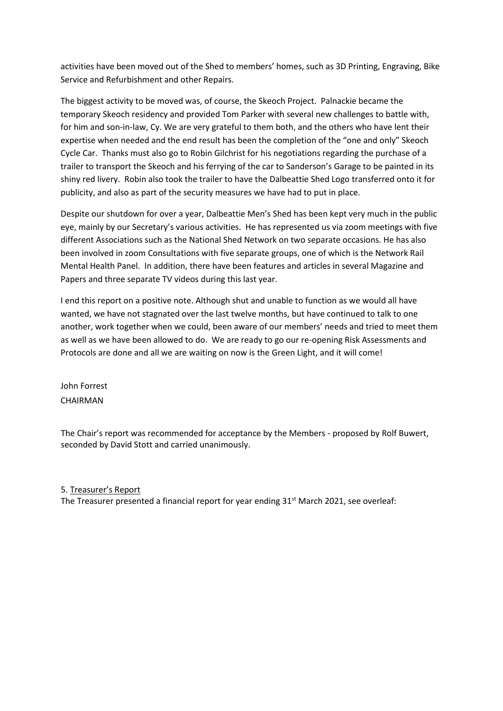activities have been moved out of the Shed to members' homes, such as 3D Printing, Engraving, Bike Service and Refurbishment and other Repairs.

The biggest activity to be moved was, of course, the Skeoch Project. Palnackie became the temporary Skeoch residency and provided Tom Parker with several new challenges to battle with, for him and son-in-law, Cy. We are very grateful to them both, and the others who have lent their expertise when needed and the end result has been the completion of the "one and only" Skeoch Cycle Car. Thanks must also go to Robin Gilchrist for his negotiations regarding the purchase of a trailer to transport the Skeoch and his ferrying of the car to Sanderson's Garage to be painted in its shiny red livery. Robin also took the trailer to have the Dalbeattie Shed Logo transferred onto it for publicity, and also as part of the security measures we have had to put in place.

Despite our shutdown for over a year, Dalbeattie Men's Shed has been kept very much in the public eye, mainly by our Secretary's various activities. He has represented us via zoom meetings with five different Associations such as the National Shed Network on two separate occasions. He has also been involved in zoom Consultations with five separate groups, one of which is the Network Rail Mental Health Panel. In addition, there have been features and articles in several Magazine and Papers and three separate TV videos during this last year.

I end this report on a positive note. Although shut and unable to function as we would all have wanted, we have not stagnated over the last twelve months, but have continued to talk to one another, work together when we could, been aware of our members' needs and tried to meet them as well as we have been allowed to do. We are ready to go our re-opening Risk Assessments and Protocols are done and all we are waiting on now is the Green Light, and it will come!

John Forrest CHAIRMAN

The Chair's report was recommended for acceptance by the Members - proposed by Rolf Buwert, seconded by David Stott and carried unanimously.

5. Treasurer's Report The Treasurer presented a financial report for year ending  $31<sup>st</sup>$  March 2021, see overleaf: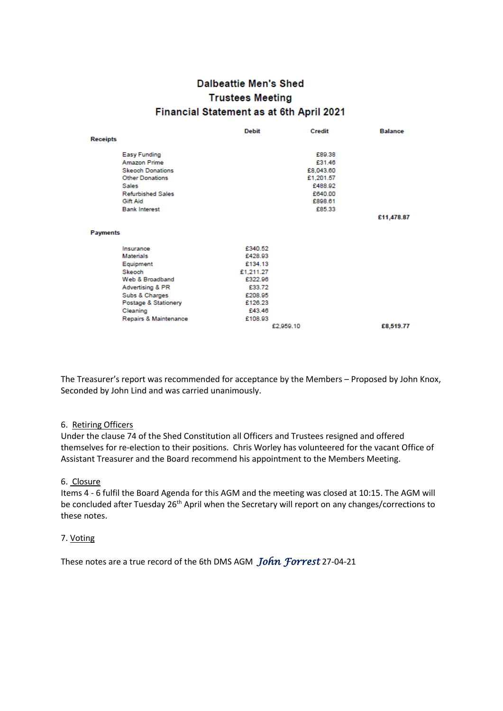# **Dalbeattie Men's Shed Trustees Meeting** Financial Statement as at 6th April 2021

|                 |                          | <b>Debit</b> |           | Credit    | <b>Balance</b> |
|-----------------|--------------------------|--------------|-----------|-----------|----------------|
| <b>Receipts</b> |                          |              |           |           |                |
|                 | <b>Easy Funding</b>      |              |           | £89.38    |                |
|                 | <b>Amazon Prime</b>      |              |           | £31.46    |                |
|                 | <b>Skeoch Donations</b>  |              |           | £8,043.60 |                |
|                 | <b>Other Donations</b>   |              |           | £1.201.57 |                |
|                 | Sales                    |              |           | £488.92   |                |
|                 | <b>Refurbished Sales</b> |              |           | £640.00   |                |
|                 | Gift Aid                 |              |           | £898.61   |                |
|                 | <b>Bank Interest</b>     |              |           | £85.33    |                |
|                 |                          |              |           |           | £11,478.87     |
| <b>Payments</b> |                          |              |           |           |                |
|                 | Insurance                | £340.52      |           |           |                |
|                 | <b>Materials</b>         | £428.93      |           |           |                |
|                 | Equipment                | £134.13      |           |           |                |
|                 | Skeoch                   | £1.211.27    |           |           |                |
|                 | Web & Broadband          | £322.96      |           |           |                |
|                 | Advertising & PR         | £33.72       |           |           |                |
|                 | Subs & Charges           | £208.95      |           |           |                |
|                 | Postage & Stationery     | £126.23      |           |           |                |
|                 | Cleaning                 | £43.46       |           |           |                |
|                 | Repairs & Maintenance    | £108.93      |           |           |                |
|                 |                          |              | £2,959.10 |           | £8,519.77      |

The Treasurer's report was recommended for acceptance by the Members – Proposed by John Knox, Seconded by John Lind and was carried unanimously.

#### 6. Retiring Officers

Under the clause 74 of the Shed Constitution all Officers and Trustees resigned and offered themselves for re-election to their positions. Chris Worley has volunteered for the vacant Office of Assistant Treasurer and the Board recommend his appointment to the Members Meeting.

#### 6. Closure

Items 4 - 6 fulfil the Board Agenda for this AGM and the meeting was closed at 10:15. The AGM will be concluded after Tuesday 26<sup>th</sup> April when the Secretary will report on any changes/corrections to these notes.

#### 7. Voting

These notes are a true record of the 6th DMS AGM *John Forrest* 27-04-21